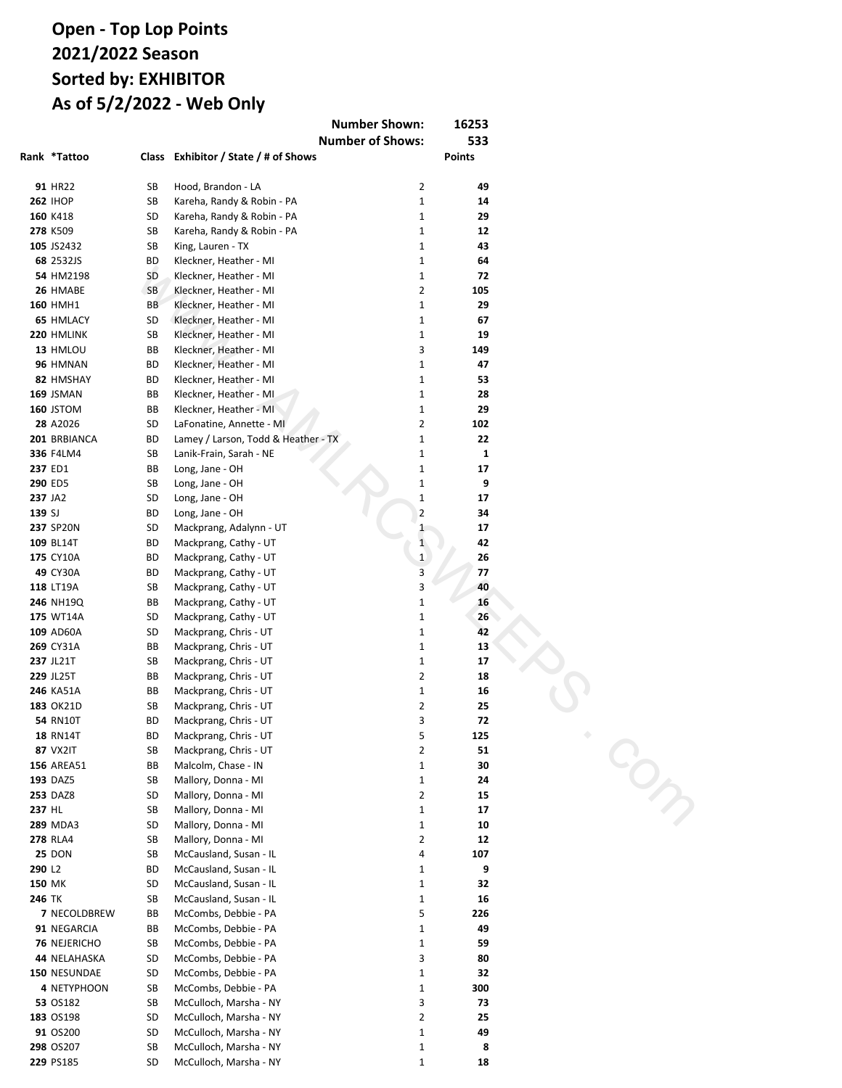## **Open - Sweepstakes Points 2021/2022 Season Sorted by: EXHIBITOR As of 5/2/2022 - Web Only**

| <b>Number Shown:</b>                                                   | 16253       |               |
|------------------------------------------------------------------------|-------------|---------------|
| <b>Number of Shows:</b>                                                |             | 533           |
| Rank Exhibitor / State / # of Shows                                    |             | <b>Points</b> |
| 101 Anderson, Kenna - NE                                               | 2           | 106           |
| 47 Asani, Rissi - OH                                                   | 11          | 882           |
| 21 Baber, Andrea - WI                                                  | 15          | 2292          |
| 22 Bailey, Christine - MT                                              | 22          | 2148          |
| 80 Bailey, Dustin - MT                                                 | 9           | 266           |
| 83 Barrett, Daniel - ND                                                | 4           | 203           |
| 82 Baxter, Julia - IA                                                  | 4           | 210           |
| 107 Bennett, Abigail - KY                                              | 3           | 82            |
| 99 Berthelot, Anthony - LA                                             | 4           | 113           |
| 58 Boxell, Nate & Lisa - IN                                            | 16<br>3     | 719<br>620    |
| 62 Brattlie, Hanna - WI<br>81 Brattlie, Rylee - WI                     | 3           | 221           |
| 49 Briggs, Jody - OR                                                   | 9           | 861           |
| 122 Brown, Jacob - GA                                                  | 2           | 40            |
| 111 Buckley, Sarah - ME                                                | 2           | 66            |
| 1 Burroughs-Dunn, Brandy - MD                                          | 36          | 12181         |
| 79 Burton, Clarisssa - OK                                              | 3           | 291           |
| 91 Campbell, Evangeline - OK                                           | 4           | 149           |
| 93 Cape, Abigail - OR                                                  | 5           | 133           |
| 11 Carpenter, Gabbi - IA                                               | 22          | 4501          |
| 114 Caster, LaDonna - IN                                               | 5           | 57            |
| 52 Caster, Lanae - IN                                                  | 14          | 816           |
| 5 Chardt, April - TX                                                   | 23          | 6270          |
| 51 Choate, Darrell - LA                                                | 4           | 818           |
| 113 Cimaroli, Matthew - WI                                             | 3           | 63            |
| 57 Clark, Laura - TX                                                   | 13          | 743           |
| 13 Coffelt, Debbie - VA<br>110 Cosenza, Savannah - NJ                  | 31<br>2     | 3667<br>74    |
| 87 Costner, Genesis - LA                                               | 6           | 170           |
| 37 Curley, Eva & Gabrielle - NY                                        | 6           | 1467          |
| 69 Devlin, Terri - VT                                                  | 5           | 444           |
| 130 Dill, Lacey - CA                                                   | 1           | 14            |
| 86 Douglas, Andrea - IL                                                | 5           | 171           |
| 127 Dutton, Laura - MD                                                 | 3           | 20            |
| 12 Easter, Makenzie - PA                                               | 26          | 3831          |
| 109 Easton, Nelson - MI                                                | 1           | 77            |
| 34 Evans, Amber - GA                                                   | 12          | 1620          |
| 130 Fisher, Reese & Rory - IN                                          | $\mathbf 1$ | 14            |
| 59 Fouch, Debbie - CA                                                  | 14          | 706           |
| 64 Fulmer / Posey, Brandon & Christy - SC                              | 9           | 602           |
| 124 Fulmer, Brandon - SC                                               | 1           | 30            |
| 33 Gaunitz, Lindsey / Irene & Marilea - IA<br>53 Gerard, Kristina - MN | 14<br>9     | 1631<br>803   |
| 73 Gilliatt, Cindy - IN                                                | 6           | 370           |
| 85 Goetze, Jessica - MN                                                | 2           | 192           |
| 106 Goetze, Keith - MN                                                 | 2           | 84            |
| 50 Graves, Kenneth - OH                                                | 11          | 840           |
| 65 Gregg, Phillip - TX                                                 | 8           | 571           |
| 97 Griffin, Joan - AR                                                  | 3           | 118           |
| 27 Harp, Shari - TX                                                    | 17          | 1963          |
| 26 Hauska / Stevenson, Laurie & Matthew - WY                           | 19          | 1964          |
| 123 Hauska, Laurie - WY                                                | 2           | 36            |
| 41 Holifield, Celeste - LA                                             | 10          | 1286          |
| 46 Hood, Brandon - LA<br>73 Huston, Jr., Mike - TN                     | 11<br>9     | 923<br>370    |
| <b>100</b> Jared, Sr., Mark - KY                                       | 2           | 112           |
| 78 Kabela, Carson - TX                                                 | 5           | 298           |
| 112 Kane, Jamie - WI                                                   | 1           | 64            |
| 48 Kareha, Randy & Robin - PA                                          | 8           | 872           |
| 84 Kennedy, Brooke - OH                                                | 6           | 193           |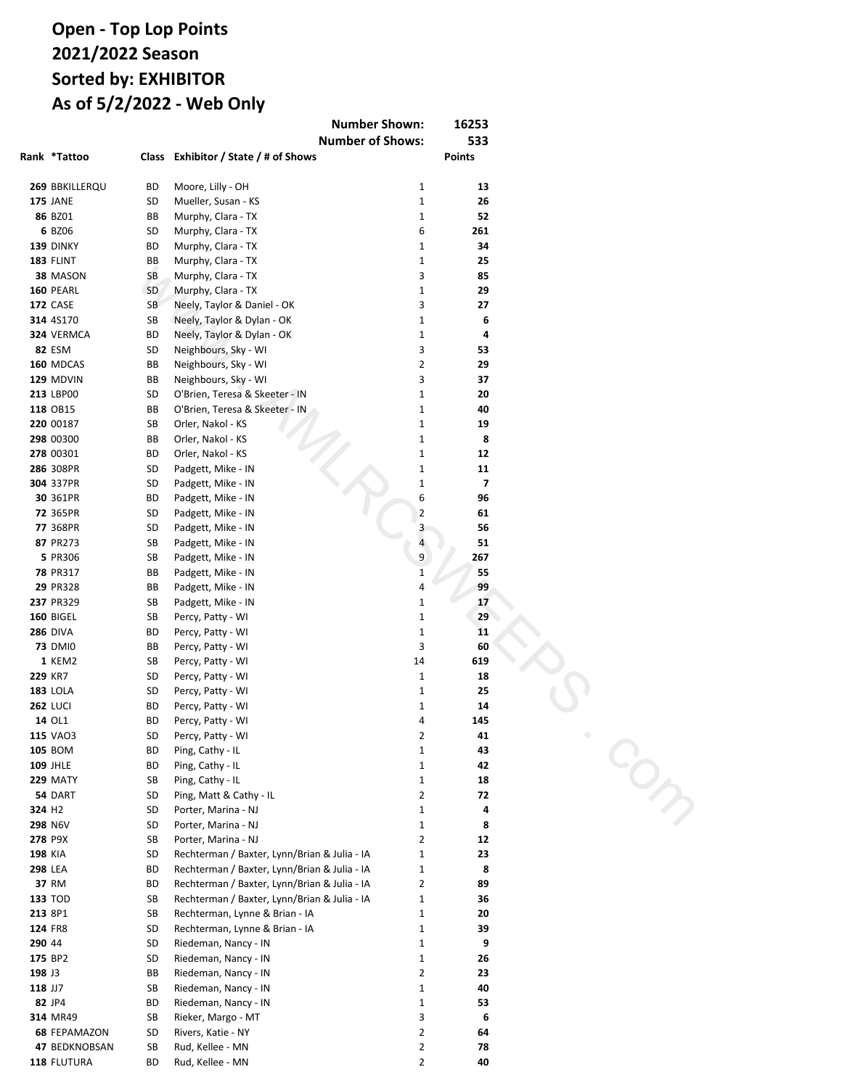## **Open - Sweepstakes Points 2021/2022 Season Sorted by: EXHIBITOR As of 5/2/2022 - Web Only**

| <b>Number Shown:</b>                                      |                | 16253       |
|-----------------------------------------------------------|----------------|-------------|
| <b>Number of Shows:</b>                                   |                | 533         |
| Rank Exhibitor / State / # of Shows                       |                | Points      |
|                                                           |                |             |
| 63 King, Lauren - TX                                      | 2              | 619         |
| 8 Kleckner, Heather - MI                                  | 12             | 5633        |
| 126 Kline, Abigail - IN                                   | 2              | 24          |
| 98 Knutsen, Cooper - CA                                   | 1              | 115         |
| 38 LaFontaine, Annette - MI                               | 6              | 1313        |
| 40 Lamey / Larson, Todd & Heather - TX                    | 11             | 1289        |
| 132 Lanik-Frain, Sarah - NE                               | 2              | 7           |
| 96 Larson, Ethan - CA                                     | 1              | 120         |
| 128 Lierman, Marcia - CO                                  | 3              | 16          |
| 94 Lloid, Tammy - LA                                      | 5              | 122         |
| 31 Long, Jane - OH                                        | 15             | 1722        |
| 61 Mackprang, Analynn - UT                                | 17             | 655         |
| 32 Mackprang, Cathy - UT                                  | 17             | 1646        |
| 16 Mackprang, Chris - UT                                  | 17             | 2861        |
| 108 Malcolm, Carter - IN                                  | 1              | 81          |
| 90 Malcolm, Chase - IN                                    | $\mathbf{1}$   | 160         |
| 36 Mallory, Donna - MI                                    | 10             | 1507        |
| 17 McCausland, Susan - IL                                 | 17             | 2664        |
| 6 McCombs, Debbie - PA                                    | 32             | 6223        |
| 35 McCulloch, Marsha - NY                                 | 7              | 1596        |
| 92 Moore, Lilly - OH                                      | 3              | 139         |
| 77 Mueller, Susan - KS                                    | 4              | 332         |
| 7 Murphy, Clara - TX                                      | 21             | 5978        |
| 72 Neely, Taylor & Daniel - OK                            | 6              | 386         |
| 104 Neely, Taylor & Dylan - OK                            | $\overline{2}$ | 96          |
| 44 Neighbours, Sky - WI                                   | 11<br>5        | 971<br>1250 |
| 42 O'Brien, Teresa & Skeeter - IN<br>75 Orler, Nakol - KS | 6              | 368         |
| 9 Padgett, Mike - IN                                      | 28             | 5618        |
| 105 Paulsey, Reisa - CA                                   | 1              | 86          |
| 4 Percy, Patty - WI                                       | 27             | 7040        |
| 60 Ping, Cathy - IL                                       | 2              | 676         |
| 30 Ping, Matt & Cathy - IL                                | 13             | 1749        |
| 115 Pisarski, Deb - NY                                    | 4              | 54          |
| 53 Porter, Marina - NJ                                    | 9              | 803         |
| 128 Posey, Christy - SC                                   | 1              | 16          |
| 23 Rechterman / Baxter, Lynn/Brian & Julia - IA           | 12             | 2055        |
| 56 Rechterman, Lynne & Brian - IA                         | 7              | 763         |
| 95 Redwine, Faith - IN                                    | 6              | 121         |
| 43 Riedeman, Nancy - IN                                   | 9              | 1114        |
| 120 Rieker, Margo - MT                                    | 3              | 42          |
| 29 Rivers, Katie - NY                                     | 21             | 1892        |
| 89 Rivers, Torre - NY                                     | 8              | 161         |
| 66 Rowell, Michaela - IA                                  | 4              | 518         |
| 28 Rud, Kellee - MN                                       | 20             | 1961        |
| 55 Schenck, Phil - NY                                     | 6              | 767         |
| 3 Schmidt, Dale - IL                                      | 29             | 7339        |
| 14 Schnell, Cindy - SD                                    | 17             | 3548        |
| 120 Sitkberg, Nathaniel - IN                              | 3              | 42          |
| 45 Slattery, Amy - OH                                     | 11             | 966         |
| 71 Stewart, Amy - OH                                      | 6              | 403         |
| 118 Swanson, John - IL                                    | 1<br>2         | 44<br>165   |
| 88 Tate, Lillian - GA<br>70 Taylor, Brandon - LA          | 12             | 431         |
| 18 Terril, Travis - IN                                    | 16             | 2559        |
| 103 Terrones, Carmella - WA                               | 5              | 101         |
| 68 Terrones, Francesca - WA                               | 5              | 480         |
| 20 Tinervin-Gregg, Kelli - TX                             | 20             | 2420        |
| 19 Tisdale, Anastacia - WI                                | 24             | 2459        |
| 132 Underbrink, Raquel & Kaitlynne - NM                   | 1              | 7           |